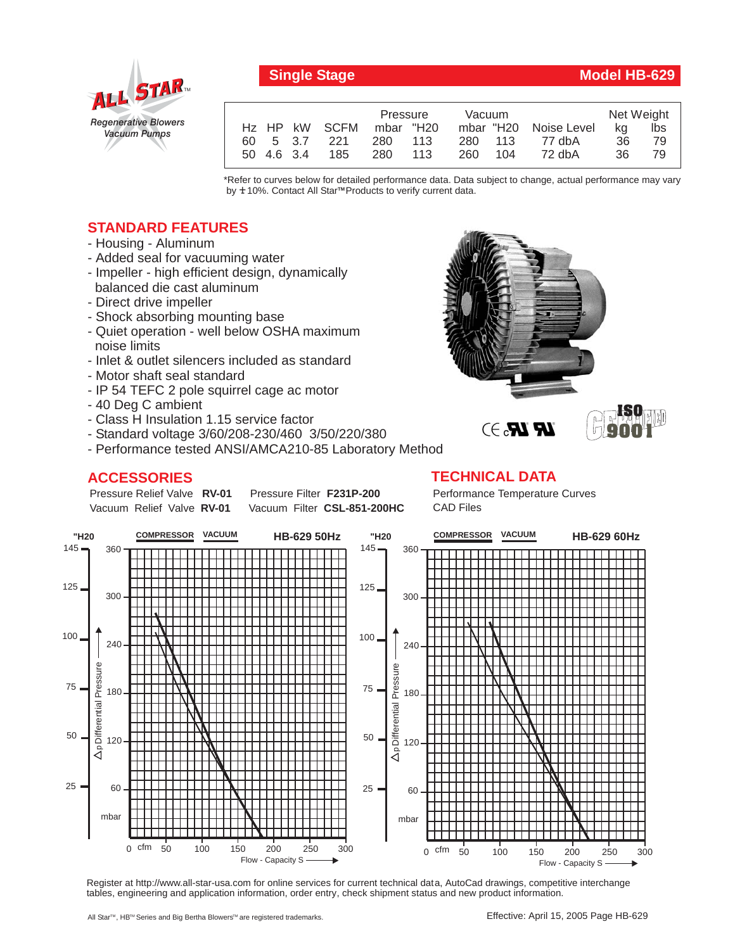

## **Single Stage Model HB-629**

|            |               | Pressure  |       | <b>Vacuum</b> |     |                       | Net Weight |     |
|------------|---------------|-----------|-------|---------------|-----|-----------------------|------------|-----|
|            | Hz HP kW SCFM | mbar "H20 |       |               |     | mbar "H20 Noise Level | ka         | lbs |
|            | 60 5 3.7 221  | 280 113   |       | 280 113       |     | 77 dbA                | 36         | 79  |
| 50 4.6 3.4 | 185           | 280       | - 113 | 260           | 104 | 72 dbA                | 36         | 79  |

\*Refer to curves below for detailed performance data. Data subject to change, actual performance may vary by **+** 10%. Contact All Star™Products to verify current data.

## **STANDARD FEATURES**

- Housing Aluminum
- Added seal for vacuuming water
- Impeller high efficient design, dynamically balanced die cast aluminum
- Direct drive impeller
- Shock absorbing mounting base
- Quiet operation well below OSHA maximum noise limits
- Inlet & outlet silencers included as standard
- Motor shaft seal standard
- IP 54 TEFC 2 pole squirrel cage ac motor
- 40 Deg C ambient
- Class H Insulation 1.15 service factor
- Standard voltage 3/60/208-230/460 3/50/220/380
- Performance tested ANSI/AMCA210-85 Laboratory Method

## **ACCESSORIES**

Pressure Relief Valve RV-01 Vacuum Relief Valve RV-01

**Pressure Filter F231P-200** Vacuum Filter CSL-851-200HC **TECHNICAL DATA** Performance Temperature Curves CAD Files



Register at http://www.all-star-usa.com for online services for current technical data, AutoCad drawings, competitive interchange tables, engineering and application information, order entry, check shipment status and new product information.